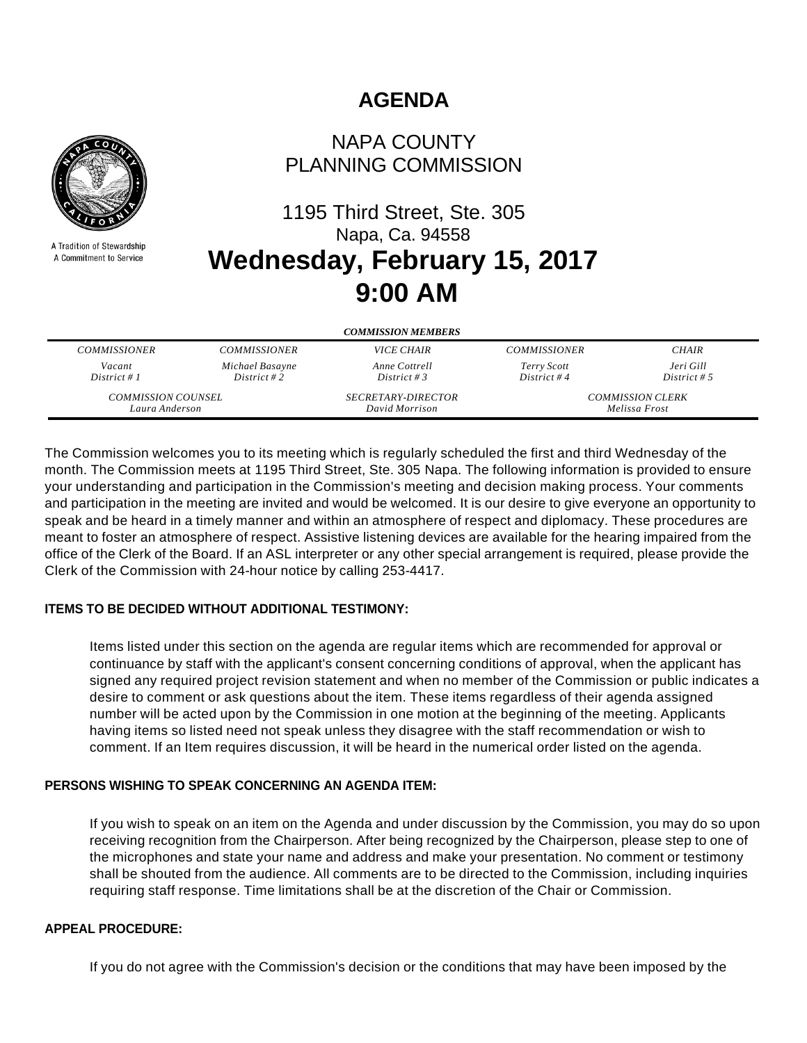# **AGENDA**



A Tradition of Stewardship A Commitment to Service

## NAPA COUNTY PLANNING COMMISSION

# 1195 Third Street, Ste. 305 Napa, Ca. 94558 **Wednesday, February 15, 2017 9:00 AM**

| <b>COMMISSION MEMBERS</b> |                     |                           |                         |              |
|---------------------------|---------------------|---------------------------|-------------------------|--------------|
| <b>COMMISSIONER</b>       | <b>COMMISSIONER</b> | <i>VICE CHAIR</i>         | <b>COMMISSIONER</b>     | <b>CHAIR</b> |
| Vacant                    | Michael Basayne     | Anne Cottrell             | Terry Scott             | Jeri Gill    |
| District # $1$            | District #2         | District # 3              | District #4             | District # 5 |
| <b>COMMISSION COUNSEL</b> |                     | <b>SECRETARY-DIRECTOR</b> | <b>COMMISSION CLERK</b> |              |
| Laura Anderson            |                     | David Morrison            | Melissa Frost           |              |

The Commission welcomes you to its meeting which is regularly scheduled the first and third Wednesday of the month. The Commission meets at 1195 Third Street, Ste. 305 Napa. The following information is provided to ensure your understanding and participation in the Commission's meeting and decision making process. Your comments and participation in the meeting are invited and would be welcomed. It is our desire to give everyone an opportunity to speak and be heard in a timely manner and within an atmosphere of respect and diplomacy. These procedures are meant to foster an atmosphere of respect. Assistive listening devices are available for the hearing impaired from the office of the Clerk of the Board. If an ASL interpreter or any other special arrangement is required, please provide the Clerk of the Commission with 24-hour notice by calling 253-4417.

#### **ITEMS TO BE DECIDED WITHOUT ADDITIONAL TESTIMONY:**

Items listed under this section on the agenda are regular items which are recommended for approval or continuance by staff with the applicant's consent concerning conditions of approval, when the applicant has signed any required project revision statement and when no member of the Commission or public indicates a desire to comment or ask questions about the item. These items regardless of their agenda assigned number will be acted upon by the Commission in one motion at the beginning of the meeting. Applicants having items so listed need not speak unless they disagree with the staff recommendation or wish to comment. If an Item requires discussion, it will be heard in the numerical order listed on the agenda.

## **PERSONS WISHING TO SPEAK CONCERNING AN AGENDA ITEM:**

If you wish to speak on an item on the Agenda and under discussion by the Commission, you may do so upon receiving recognition from the Chairperson. After being recognized by the Chairperson, please step to one of the microphones and state your name and address and make your presentation. No comment or testimony shall be shouted from the audience. All comments are to be directed to the Commission, including inquiries requiring staff response. Time limitations shall be at the discretion of the Chair or Commission.

#### **APPEAL PROCEDURE:**

If you do not agree with the Commission's decision or the conditions that may have been imposed by the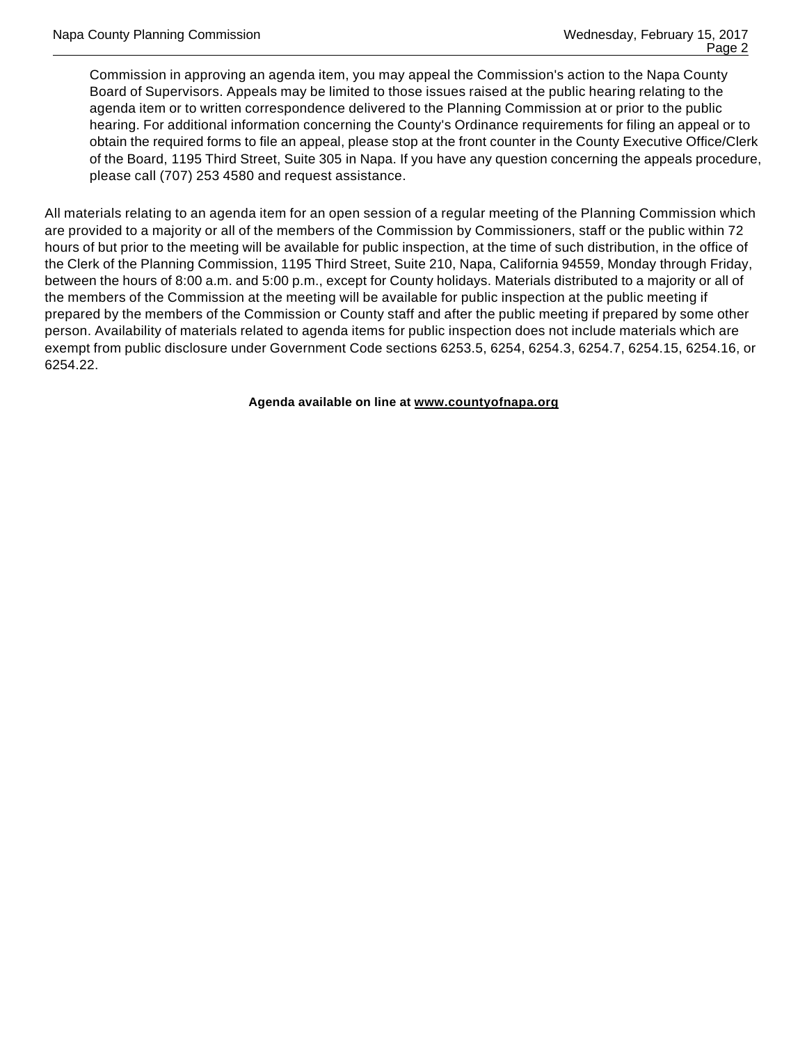Commission in approving an agenda item, you may appeal the Commission's action to the Napa County Board of Supervisors. Appeals may be limited to those issues raised at the public hearing relating to the agenda item or to written correspondence delivered to the Planning Commission at or prior to the public hearing. For additional information concerning the County's Ordinance requirements for filing an appeal or to obtain the required forms to file an appeal, please stop at the front counter in the County Executive Office/Clerk of the Board, 1195 Third Street, Suite 305 in Napa. If you have any question concerning the appeals procedure, please call (707) 253 4580 and request assistance.

All materials relating to an agenda item for an open session of a regular meeting of the Planning Commission which are provided to a majority or all of the members of the Commission by Commissioners, staff or the public within 72 hours of but prior to the meeting will be available for public inspection, at the time of such distribution, in the office of the Clerk of the Planning Commission, 1195 Third Street, Suite 210, Napa, California 94559, Monday through Friday, between the hours of 8:00 a.m. and 5:00 p.m., except for County holidays. Materials distributed to a majority or all of the members of the Commission at the meeting will be available for public inspection at the public meeting if prepared by the members of the Commission or County staff and after the public meeting if prepared by some other person. Availability of materials related to agenda items for public inspection does not include materials which are exempt from public disclosure under Government Code sections 6253.5, 6254, 6254.3, 6254.7, 6254.15, 6254.16, or 6254.22.

**Agenda available on line at www.countyofnapa.org**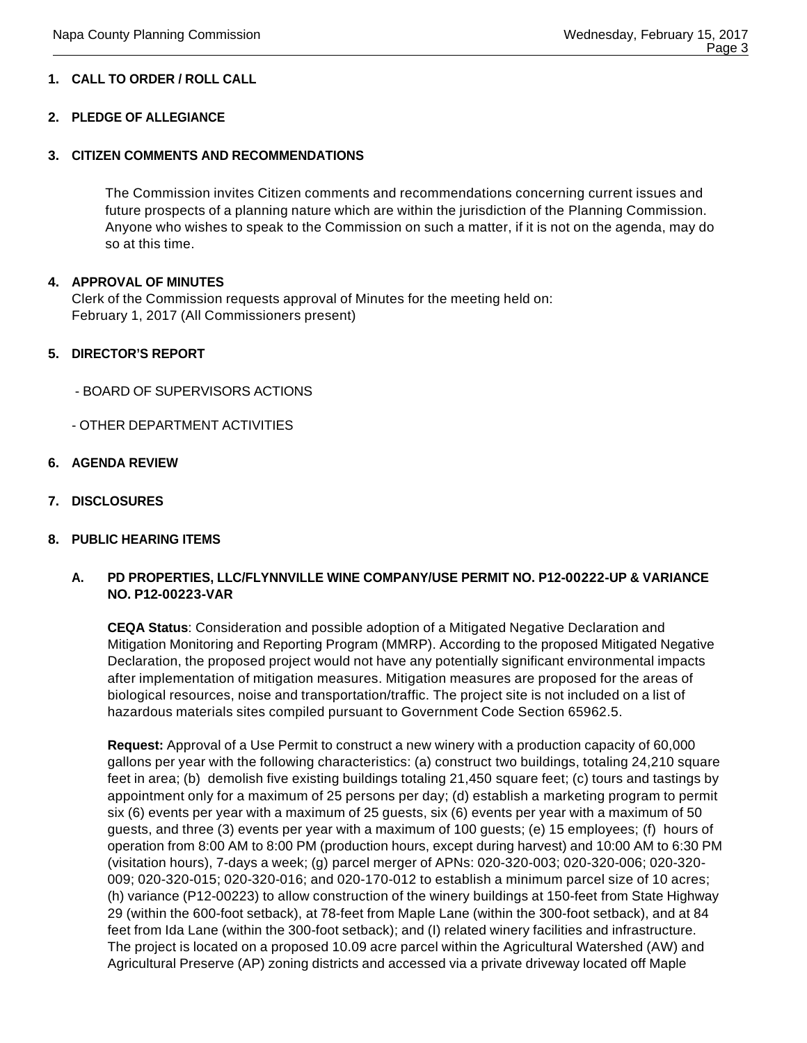## **1. CALL TO ORDER / ROLL CALL**

#### **2. PLEDGE OF ALLEGIANCE**

#### **3. CITIZEN COMMENTS AND RECOMMENDATIONS**

The Commission invites Citizen comments and recommendations concerning current issues and future prospects of a planning nature which are within the jurisdiction of the Planning Commission. Anyone who wishes to speak to the Commission on such a matter, if it is not on the agenda, may do so at this time.

#### **4. APPROVAL OF MINUTES**

Clerk of the Commission requests approval of Minutes for the meeting held on: February 1, 2017 (All Commissioners present)

#### **5. DIRECTOR'S REPORT**

- BOARD OF SUPERVISORS ACTIONS
- OTHER DEPARTMENT ACTIVITIES
- **6. AGENDA REVIEW**
- **7. DISCLOSURES**

#### **8. PUBLIC HEARING ITEMS**

#### **A. PD PROPERTIES, LLC/FLYNNVILLE WINE COMPANY/USE PERMIT NO. P12-00222-UP & VARIANCE NO. P12-00223-VAR**

**CEQA Status**: Consideration and possible adoption of a Mitigated Negative Declaration and Mitigation Monitoring and Reporting Program (MMRP). According to the proposed Mitigated Negative Declaration, the proposed project would not have any potentially significant environmental impacts after implementation of mitigation measures. Mitigation measures are proposed for the areas of biological resources, noise and transportation/traffic. The project site is not included on a list of hazardous materials sites compiled pursuant to Government Code Section 65962.5.

**Request:** Approval of a Use Permit to construct a new winery with a production capacity of 60,000 gallons per year with the following characteristics: (a) construct two buildings, totaling 24,210 square feet in area; (b) demolish five existing buildings totaling 21,450 square feet; (c) tours and tastings by appointment only for a maximum of 25 persons per day; (d) establish a marketing program to permit six (6) events per year with a maximum of 25 guests, six (6) events per year with a maximum of 50 guests, and three (3) events per year with a maximum of 100 guests; (e) 15 employees; (f) hours of operation from 8:00 AM to 8:00 PM (production hours, except during harvest) and 10:00 AM to 6:30 PM (visitation hours), 7-days a week; (g) parcel merger of APNs: 020-320-003; 020-320-006; 020-320- 009; 020-320-015; 020-320-016; and 020-170-012 to establish a minimum parcel size of 10 acres; (h) variance (P12-00223) to allow construction of the winery buildings at 150-feet from State Highway 29 (within the 600-foot setback), at 78-feet from Maple Lane (within the 300-foot setback), and at 84 feet from Ida Lane (within the 300-foot setback); and (I) related winery facilities and infrastructure. The project is located on a proposed 10.09 acre parcel within the Agricultural Watershed (AW) and Agricultural Preserve (AP) zoning districts and accessed via a private driveway located off Maple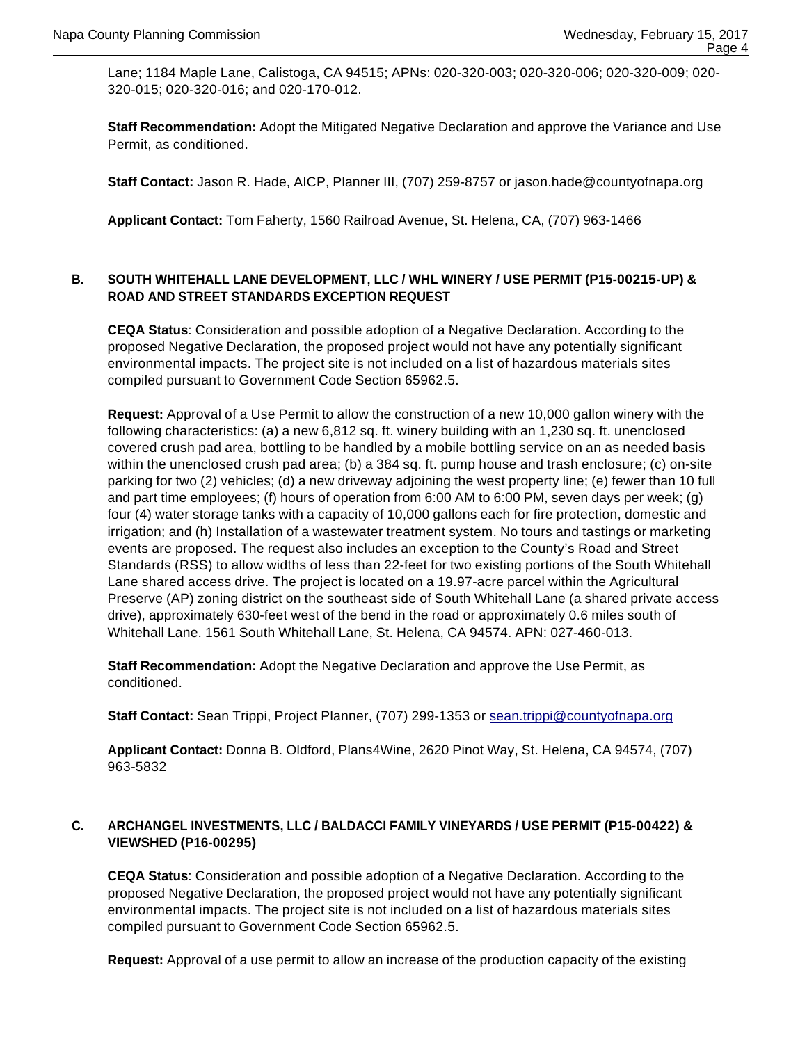Lane; 1184 Maple Lane, Calistoga, CA 94515; APNs: 020-320-003; 020-320-006; 020-320-009; 020- 320-015; 020-320-016; and 020-170-012.

**Staff Recommendation:** Adopt the Mitigated Negative Declaration and approve the Variance and Use Permit, as conditioned.

**Staff Contact:** Jason R. Hade, AICP, Planner III, (707) 259-8757 or jason.hade@countyofnapa.org

**Applicant Contact:** Tom Faherty, 1560 Railroad Avenue, St. Helena, CA, (707) 963-1466

#### **B. SOUTH WHITEHALL LANE DEVELOPMENT, LLC / WHL WINERY / USE PERMIT (P15-00215-UP) & ROAD AND STREET STANDARDS EXCEPTION REQUEST**

**CEQA Status**: Consideration and possible adoption of a Negative Declaration. According to the proposed Negative Declaration, the proposed project would not have any potentially significant environmental impacts. The project site is not included on a list of hazardous materials sites compiled pursuant to Government Code Section 65962.5.

**Request:** Approval of a Use Permit to allow the construction of a new 10,000 gallon winery with the following characteristics: (a) a new 6,812 sq. ft. winery building with an 1,230 sq. ft. unenclosed covered crush pad area, bottling to be handled by a mobile bottling service on an as needed basis within the unenclosed crush pad area; (b) a 384 sq. ft. pump house and trash enclosure; (c) on-site parking for two (2) vehicles; (d) a new driveway adjoining the west property line; (e) fewer than 10 full and part time employees; (f) hours of operation from 6:00 AM to 6:00 PM, seven days per week; (g) four (4) water storage tanks with a capacity of 10,000 gallons each for fire protection, domestic and irrigation; and (h) Installation of a wastewater treatment system. No tours and tastings or marketing events are proposed. The request also includes an exception to the County's Road and Street Standards (RSS) to allow widths of less than 22-feet for two existing portions of the South Whitehall Lane shared access drive. The project is located on a 19.97-acre parcel within the Agricultural Preserve (AP) zoning district on the southeast side of South Whitehall Lane (a shared private access drive), approximately 630-feet west of the bend in the road or approximately 0.6 miles south of Whitehall Lane. 1561 South Whitehall Lane, St. Helena, CA 94574. APN: 027-460-013.

**Staff Recommendation:** Adopt the Negative Declaration and approve the Use Permit, as conditioned.

**Staff Contact:** Sean Trippi, Project Planner, (707) 299-1353 or sean.trippi@countyofnapa.org

**Applicant Contact:** Donna B. Oldford, Plans4Wine, 2620 Pinot Way, St. Helena, CA 94574, (707) 963-5832

#### **C. ARCHANGEL INVESTMENTS, LLC / BALDACCI FAMILY VINEYARDS / USE PERMIT (P15-00422) & VIEWSHED (P16-00295)**

**CEQA Status**: Consideration and possible adoption of a Negative Declaration. According to the proposed Negative Declaration, the proposed project would not have any potentially significant environmental impacts. The project site is not included on a list of hazardous materials sites compiled pursuant to Government Code Section 65962.5.

**Request:** Approval of a use permit to allow an increase of the production capacity of the existing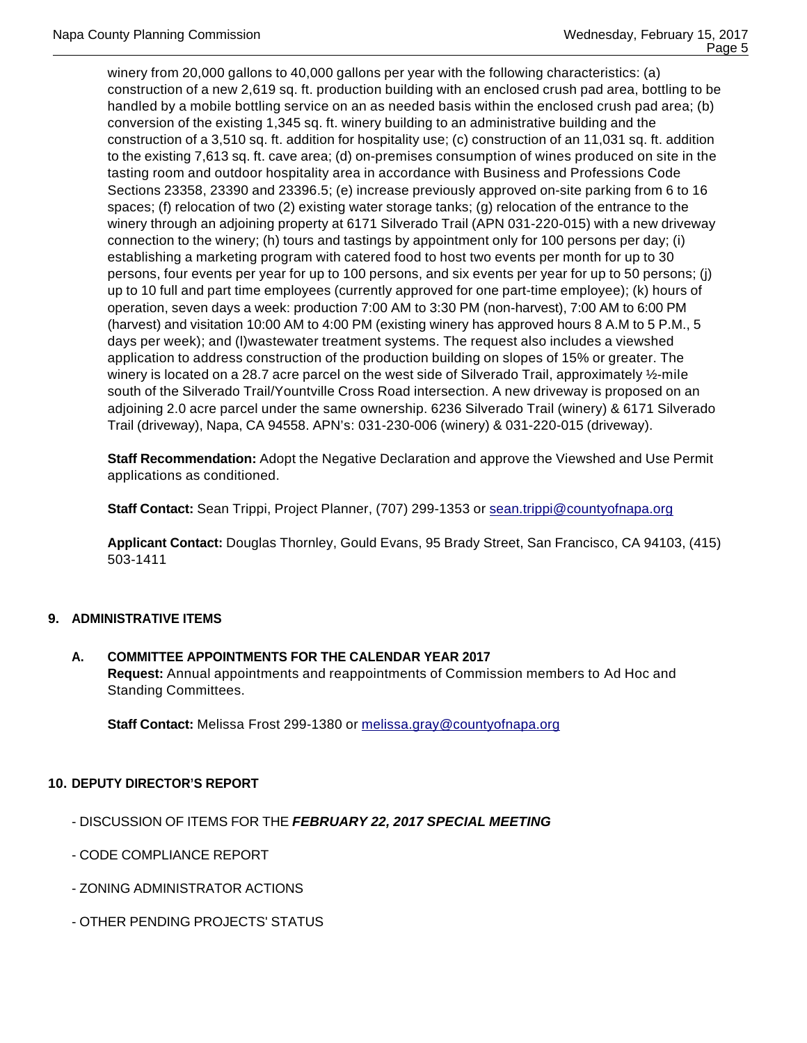winery from 20,000 gallons to 40,000 gallons per year with the following characteristics: (a) construction of a new 2,619 sq. ft. production building with an enclosed crush pad area, bottling to be handled by a mobile bottling service on an as needed basis within the enclosed crush pad area; (b) conversion of the existing 1,345 sq. ft. winery building to an administrative building and the construction of a 3,510 sq. ft. addition for hospitality use; (c) construction of an 11,031 sq. ft. addition to the existing 7,613 sq. ft. cave area; (d) on-premises consumption of wines produced on site in the tasting room and outdoor hospitality area in accordance with Business and Professions Code Sections 23358, 23390 and 23396.5; (e) increase previously approved on-site parking from 6 to 16 spaces; (f) relocation of two (2) existing water storage tanks; (g) relocation of the entrance to the winery through an adjoining property at 6171 Silverado Trail (APN 031-220-015) with a new driveway connection to the winery; (h) tours and tastings by appointment only for 100 persons per day; (i) establishing a marketing program with catered food to host two events per month for up to 30 persons, four events per year for up to 100 persons, and six events per year for up to 50 persons; (j) up to 10 full and part time employees (currently approved for one part-time employee); (k) hours of operation, seven days a week: production 7:00 AM to 3:30 PM (non-harvest), 7:00 AM to 6:00 PM (harvest) and visitation 10:00 AM to 4:00 PM (existing winery has approved hours 8 A.M to 5 P.M., 5 days per week); and (l)wastewater treatment systems. The request also includes a viewshed application to address construction of the production building on slopes of 15% or greater. The winery is located on a 28.7 acre parcel on the west side of Silverado Trail, approximately ½-mile south of the Silverado Trail/Yountville Cross Road intersection. A new driveway is proposed on an adjoining 2.0 acre parcel under the same ownership. 6236 Silverado Trail (winery) & 6171 Silverado Trail (driveway), Napa, CA 94558. APN's: 031-230-006 (winery) & 031-220-015 (driveway).

**Staff Recommendation:** Adopt the Negative Declaration and approve the Viewshed and Use Permit applications as conditioned.

**Staff Contact:** Sean Trippi, Project Planner, (707) 299-1353 or sean.trippi@countyofnapa.org

**Applicant Contact:** Douglas Thornley, Gould Evans, 95 Brady Street, San Francisco, CA 94103, (415) 503-1411

#### **9. ADMINISTRATIVE ITEMS**

**A. COMMITTEE APPOINTMENTS FOR THE CALENDAR YEAR 2017 Request:** Annual appointments and reappointments of Commission members to Ad Hoc and Standing Committees.

**Staff Contact:** Melissa Frost 299-1380 or melissa.gray@countyofnapa.org

#### **10. DEPUTY DIRECTOR'S REPORT**

- DISCUSSION OF ITEMS FOR THE **FEBRUARY 22, 2017 SPECIAL MEETING**
- CODE COMPLIANCE REPORT
- ZONING ADMINISTRATOR ACTIONS
- OTHER PENDING PROJECTS' STATUS